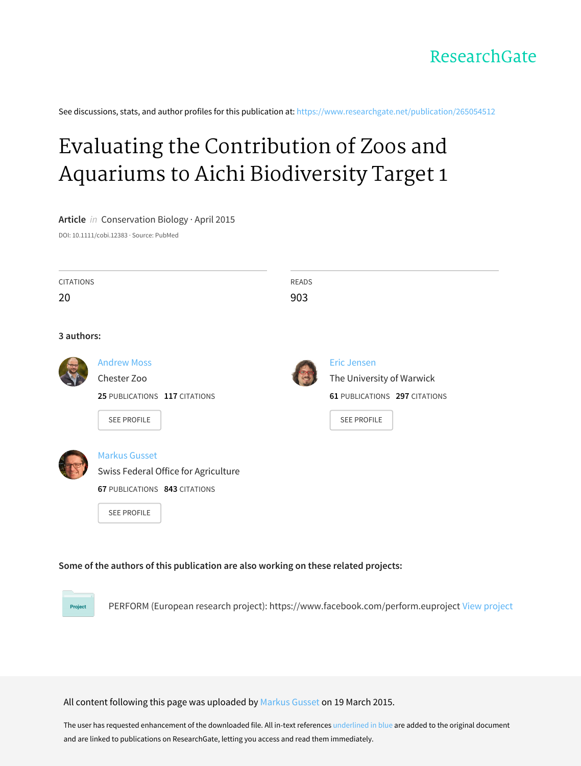

See discussions, stats, and author profiles for this publication at: [https://www.researchgate.net/publication/265054512](https://www.researchgate.net/publication/265054512_Evaluating_the_Contribution_of_Zoos_and_Aquariums_to_Aichi_Biodiversity_Target_1?enrichId=rgreq-77f94d7cc6ce42ac83970c032db6908b-XXX&enrichSource=Y292ZXJQYWdlOzI2NTA1NDUxMjtBUzoyMDg3MTE5OTkwNzAyMDhAMTQyNjc3MjIyNjY3Mw%3D%3D&el=1_x_2&_esc=publicationCoverPdf)

# Evaluating the [Contribution](https://www.researchgate.net/publication/265054512_Evaluating_the_Contribution_of_Zoos_and_Aquariums_to_Aichi_Biodiversity_Target_1?enrichId=rgreq-77f94d7cc6ce42ac83970c032db6908b-XXX&enrichSource=Y292ZXJQYWdlOzI2NTA1NDUxMjtBUzoyMDg3MTE5OTkwNzAyMDhAMTQyNjc3MjIyNjY3Mw%3D%3D&el=1_x_3&_esc=publicationCoverPdf) of Zoos and Aquariums to Aichi Biodiversity Target 1

**Article** in Conservation Biology · April 2015

DOI: 10.1111/cobi.12383 · Source: PubMed

| <b>CITATIONS</b><br>20 |                                                                                                                     | READS<br>903 |                                                                                                        |
|------------------------|---------------------------------------------------------------------------------------------------------------------|--------------|--------------------------------------------------------------------------------------------------------|
| 3 authors:             |                                                                                                                     |              |                                                                                                        |
|                        | <b>Andrew Moss</b><br>Chester Zoo<br>25 PUBLICATIONS 117 CITATIONS<br><b>SEE PROFILE</b>                            |              | <b>Eric Jensen</b><br>The University of Warwick<br>61 PUBLICATIONS 297 CITATIONS<br><b>SEE PROFILE</b> |
|                        | <b>Markus Gusset</b><br>Swiss Federal Office for Agriculture<br>67 PUBLICATIONS 843 CITATIONS<br><b>SEE PROFILE</b> |              |                                                                                                        |

# **Some of the authors of this publication are also working on these related projects:**

Project

PERFORM (European research project): https://www.facebook.com/perform.euproject View [project](https://www.researchgate.net/project/PERFORM-European-research-project-https-wwwfacebookcom-performeuproject?enrichId=rgreq-77f94d7cc6ce42ac83970c032db6908b-XXX&enrichSource=Y292ZXJQYWdlOzI2NTA1NDUxMjtBUzoyMDg3MTE5OTkwNzAyMDhAMTQyNjc3MjIyNjY3Mw%3D%3D&el=1_x_9&_esc=publicationCoverPdf)

All content following this page was uploaded by [Markus](https://www.researchgate.net/profile/Markus_Gusset?enrichId=rgreq-77f94d7cc6ce42ac83970c032db6908b-XXX&enrichSource=Y292ZXJQYWdlOzI2NTA1NDUxMjtBUzoyMDg3MTE5OTkwNzAyMDhAMTQyNjc3MjIyNjY3Mw%3D%3D&el=1_x_10&_esc=publicationCoverPdf) Gusset on 19 March 2015.

The user has requested enhancement of the downloaded file. All in-text references underlined in blue are added to the original document and are linked to publications on ResearchGate, letting you access and read them immediately.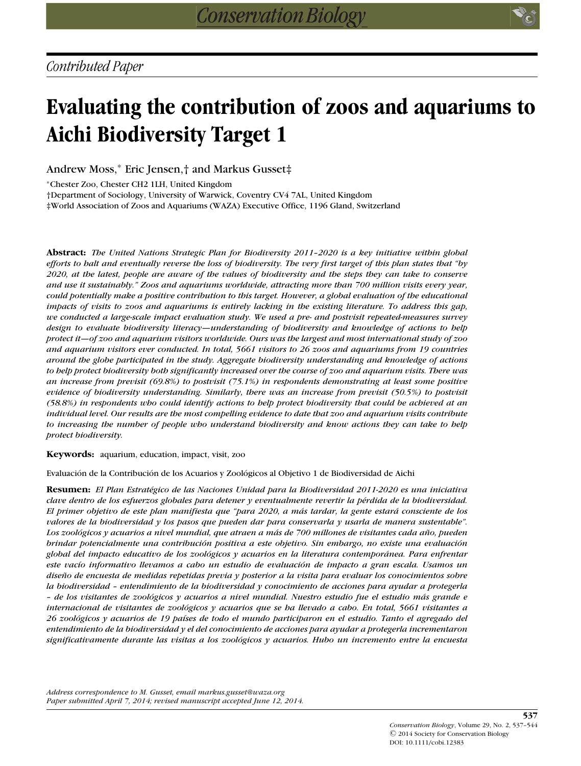# **Evaluating the contribution of zoos and aquariums to Aichi Biodiversity Target 1**

Andrew Moss,<sup>∗</sup> Eric Jensen,† and Markus Gusset‡

<sup>∗</sup>Chester Zoo, Chester CH2 1LH, United Kingdom †Department of Sociology, University of Warwick, Coventry CV4 7AL, United Kingdom ‡World Association of Zoos and Aquariums (WAZA) Executive Office, 1196 Gland, Switzerland

**Abstract:** *The United Nations Strategic Plan for Biodiversity 2011–2020 is a key initiative within global efforts to halt and eventually reverse the loss of biodiversity. The very first target of this plan states that "by 2020, at the latest, people are aware of the values of biodiversity and the steps they can take to conserve and use it sustainably." Zoos and aquariums worldwide, attracting more than 700 million visits every year, could potentially make a positive contribution to this target. However, a global evaluation of the educational impacts of visits to zoos and aquariums is entirely lacking in the existing literature. To address this gap, we conducted a large-scale impact evaluation study. We used a pre- and postvisit repeated-measures survey design to evaluate biodiversity literacy—understanding of biodiversity and knowledge of actions to help protect it—of zoo and aquarium visitors worldwide. Ours was the largest and most international study of zoo and aquarium visitors ever conducted. In total, 5661 visitors to 26 zoos and aquariums from 19 countries around the globe participated in the study. Aggregate biodiversity understanding and knowledge of actions to help protect biodiversity both significantly increased over the course of zoo and aquarium visits. There was an increase from previsit (69.8%) to postvisit (75.1%) in respondents demonstrating at least some positive evidence of biodiversity understanding. Similarly, there was an increase from previsit (50.5%) to postvisit (58.8%) in respondents who could identify actions to help protect biodiversity that could be achieved at an individual level. Our results are the most compelling evidence to date that zoo and aquarium visits contribute to increasing the number of people who understand biodiversity and know actions they can take to help protect biodiversity.*

**Keywords:** aquarium, education, impact, visit, zoo

Evaluación de la Contribución de los Acuarios y Zoológicos al Objetivo 1 de Biodiversidad de Aichi

**Resumen:** *El Plan Estrat´egico de las Naciones Unidad para la Biodiversidad 2011-2020 es una iniciativa clave dentro de los esfuerzos globales para detener y eventualmente revertir la p´erdida de la biodiversidad. El primer objetivo de este plan manifiesta que "para 2020, a mas tardar, la gente estar ´ a consciente de los ´ valores de la biodiversidad y los pasos que pueden dar para conservarla y usarla de manera sustentable". Los zoologicos y acuarios a nivel mundial, que atraen a m ´ as de 700 millones de visitantes cada a ´ no, pueden ˜ brindar potencialmente una contribucion positiva a este objetivo. Sin embargo, no existe una evaluaci ´ on´ global del impacto educativo de los zoologicos y acuarios en la literatura contempor ´ anea. Para enfrentar ´ este vac´ıo informativo llevamos a cabo un estudio de evaluacion de impacto a gran escala. Usamos un ´ diseno de encuesta de medidas repetidas previa y posterior a la visita para evaluar los conocimientos sobre ˜ la biodiversidad – entendimiento de la biodiversidad y conocimiento de acciones para ayudar a protegerla – de los visitantes de zoologicos y acuarios a nivel mundial. Nuestro estudio fue el estudio m ´ as grande e ´ internacional de visitantes de zoologicos y acuarios que se ha llevado a cabo. En total, 5661 visitantes a ´ 26 zoologicos y acuarios de 19 pa ´ ´ıses de todo el mundo participaron en el estudio. Tanto el agregado del entendimiento de la biodiversidad y el del conocimiento de acciones para ayudar a protegerla incrementaron significativamente durante las visitas a los zoologicos y acuarios. Hubo un incremento entre la encuesta ´*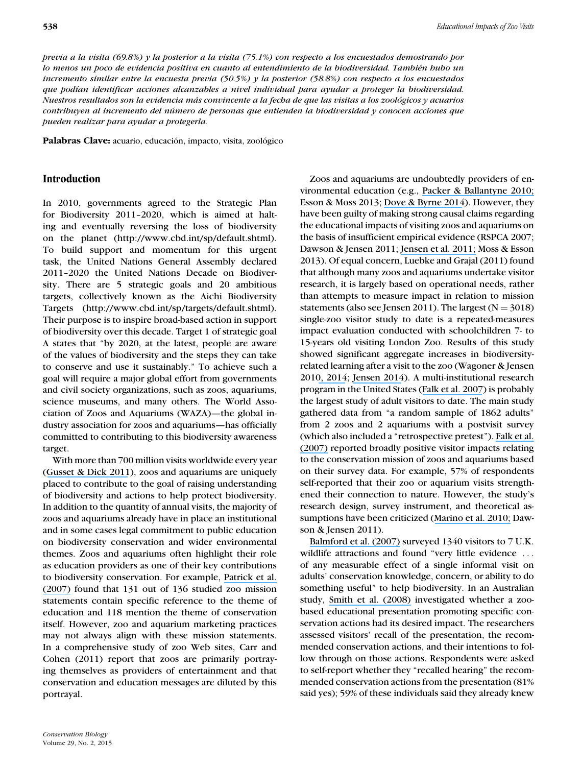*previa a la visita (69.8%) y la posterior a la visita (75.1%) con respecto a los encuestados demostrando por* lo menos un poco de evidencia positiva en cuanto al entendimiento de la biodiversidad. También hubo un *incremento similar entre la encuesta previa (50.5%) y la posterior (58.8%) con respecto a los encuestados que pod´ıan identificar acciones alcanzables a nivel individual para ayudar a proteger la biodiversidad. Nuestros resultados son la evidencia mas convincente a la fecha de que las visitas a los zool ´ ogicos y acuarios ´ contribuyen al incremento del numero de personas que entienden la biodiversidad y conocen acciones que ´ pueden realizar para ayudar a protegerla.*

Palabras Clave: acuario, educación, impacto, visita, zoológico

# **Introduction**

In 2010, governments agreed to the Strategic Plan for Biodiversity 2011–2020, which is aimed at halting and eventually reversing the loss of biodiversity on the planet (http://www.cbd.int/sp/default.shtml). To build support and momentum for this urgent task, the United Nations General Assembly declared 2011–2020 the United Nations Decade on Biodiversity. There are 5 strategic goals and 20 ambitious targets, collectively known as the Aichi Biodiversity Targets (http://www.cbd.int/sp/targets/default.shtml). Their purpose is to inspire broad-based action in support of biodiversity over this decade. Target 1 of strategic goal A states that "by 2020, at the latest, people are aware of the values of biodiversity and the steps they can take to conserve and use it sustainably." To achieve such a goal will require a major global effort from governments and civil society organizations, such as zoos, aquariums, science museums, and many others. The World Association of Zoos and Aquariums (WAZA)—the global industry association for zoos and aquariums—has officially committed to contributing to this biodiversity awareness target.

With more than 700 million visits worldwide every year ([Gusset & Dick 2011](https://www.researchgate.net/publication/49662951_The_global_reach_of_zoos_and_aquariums_in_visitor_numbers_and_conservation_expenditures?el=1_x_8&enrichId=rgreq-77f94d7cc6ce42ac83970c032db6908b-XXX&enrichSource=Y292ZXJQYWdlOzI2NTA1NDUxMjtBUzoyMDg3MTE5OTkwNzAyMDhAMTQyNjc3MjIyNjY3Mw==)), zoos and aquariums are uniquely placed to contribute to the goal of raising understanding of biodiversity and actions to help protect biodiversity. In addition to the quantity of annual visits, the majority of zoos and aquariums already have in place an institutional and in some cases legal commitment to public education on biodiversity conservation and wider environmental themes. Zoos and aquariums often highlight their role as education providers as one of their key contributions to biodiversity conservation. For example, [Patrick et al.](https://www.researchgate.net/publication/244988573_Conservation_and_Education_Prominent_Themes_in_Zoo_Mission_Statements?el=1_x_8&enrichId=rgreq-77f94d7cc6ce42ac83970c032db6908b-XXX&enrichSource=Y292ZXJQYWdlOzI2NTA1NDUxMjtBUzoyMDg3MTE5OTkwNzAyMDhAMTQyNjc3MjIyNjY3Mw==) [\(2007\)](https://www.researchgate.net/publication/244988573_Conservation_and_Education_Prominent_Themes_in_Zoo_Mission_Statements?el=1_x_8&enrichId=rgreq-77f94d7cc6ce42ac83970c032db6908b-XXX&enrichSource=Y292ZXJQYWdlOzI2NTA1NDUxMjtBUzoyMDg3MTE5OTkwNzAyMDhAMTQyNjc3MjIyNjY3Mw==) found that 131 out of 136 studied zoo mission statements contain specific reference to the theme of education and 118 mention the theme of conservation itself. However, zoo and aquarium marketing practices may not always align with these mission statements. In a comprehensive study of zoo Web sites, Carr and Cohen (2011) report that zoos are primarily portraying themselves as providers of entertainment and that conservation and education messages are diluted by this portrayal.

Zoos and aquariums are undoubtedly providers of environmental education (e.g., [Packer & Ballantyne 2010;](https://www.researchgate.net/publication/50234745_The_role_of_zoos_and_aquariums_in_education_for_a_sustainable_future?el=1_x_8&enrichId=rgreq-77f94d7cc6ce42ac83970c032db6908b-XXX&enrichSource=Y292ZXJQYWdlOzI2NTA1NDUxMjtBUzoyMDg3MTE5OTkwNzAyMDhAMTQyNjc3MjIyNjY3Mw==) Esson & Moss 2013; [Dove & Byrne 2014](https://www.researchgate.net/publication/271673709_Do_Zoo_Visitors_need_Zoology_Knowledge_to_Understand_Conservation_Messages_An_Exploration_of_the_Public_Understanding_of_Animal_Biology_and_of_the_Conservation_of_Biodiversity_in_a_Zoo_Setting?el=1_x_8&enrichId=rgreq-77f94d7cc6ce42ac83970c032db6908b-XXX&enrichSource=Y292ZXJQYWdlOzI2NTA1NDUxMjtBUzoyMDg3MTE5OTkwNzAyMDhAMTQyNjc3MjIyNjY3Mw==)). However, they have been guilty of making strong causal claims regarding the educational impacts of visiting zoos and aquariums on the basis of insufficient empirical evidence (RSPCA 2007; Dawson & Jensen 2011; [Jensen et al. 2011;](https://www.researchgate.net/publication/254336611_Dialogue_and_Synthesis_Developing_Consensus_in_Visitor_Research_Methodology?el=1_x_8&enrichId=rgreq-77f94d7cc6ce42ac83970c032db6908b-XXX&enrichSource=Y292ZXJQYWdlOzI2NTA1NDUxMjtBUzoyMDg3MTE5OTkwNzAyMDhAMTQyNjc3MjIyNjY3Mw==) Moss & Esson 2013). Of equal concern, Luebke and Grajal (2011) found that although many zoos and aquariums undertake visitor research, it is largely based on operational needs, rather than attempts to measure impact in relation to mission statements (also see Jensen 2011). The largest ( $N = 3018$ ) single-zoo visitor study to date is a repeated-measures impact evaluation conducted with schoolchildren 7- to 15-years old visiting London Zoo. Results of this study showed significant aggregate increases in biodiversityrelated learning after a visit to the zoo (Wagoner & Jensen 201[0, 2014](https://www.researchgate.net/publication/261254556_Evaluating_Children); [Jensen 2014](https://www.researchgate.net/publication/261254556_Evaluating_Children)). A multi-institutional research program in the United States ([Falk et al. 2007](https://www.researchgate.net/publication/253004933_Why_Zoos_Aquariums_Matter_Assessing_the_Impact_of_a_Visit_to_a_Zoo_or_Aquarium?el=1_x_8&enrichId=rgreq-77f94d7cc6ce42ac83970c032db6908b-XXX&enrichSource=Y292ZXJQYWdlOzI2NTA1NDUxMjtBUzoyMDg3MTE5OTkwNzAyMDhAMTQyNjc3MjIyNjY3Mw==)) is probably the largest study of adult visitors to date. The main study gathered data from "a random sample of 1862 adults" from 2 zoos and 2 aquariums with a postvisit survey (which also included a "retrospective pretest"). [Falk et al.](https://www.researchgate.net/publication/253004933_Why_Zoos_Aquariums_Matter_Assessing_the_Impact_of_a_Visit_to_a_Zoo_or_Aquarium?el=1_x_8&enrichId=rgreq-77f94d7cc6ce42ac83970c032db6908b-XXX&enrichSource=Y292ZXJQYWdlOzI2NTA1NDUxMjtBUzoyMDg3MTE5OTkwNzAyMDhAMTQyNjc3MjIyNjY3Mw==) [\(2007\)](https://www.researchgate.net/publication/253004933_Why_Zoos_Aquariums_Matter_Assessing_the_Impact_of_a_Visit_to_a_Zoo_or_Aquarium?el=1_x_8&enrichId=rgreq-77f94d7cc6ce42ac83970c032db6908b-XXX&enrichSource=Y292ZXJQYWdlOzI2NTA1NDUxMjtBUzoyMDg3MTE5OTkwNzAyMDhAMTQyNjc3MjIyNjY3Mw==) reported broadly positive visitor impacts relating to the conservation mission of zoos and aquariums based on their survey data. For example, 57% of respondents self-reported that their zoo or aquarium visits strengthened their connection to nature. However, the study's research design, survey instrument, and theoretical assumptions have been criticized ([Marino et al. 2010;](https://www.researchgate.net/publication/228495012_Do_Zoos_and_Aquariums_Promote_Attitude_Change_in_Visitors_A_Critical_Evaluation_of_the_American_Zoo_and_Aquarium_Study?el=1_x_8&enrichId=rgreq-77f94d7cc6ce42ac83970c032db6908b-XXX&enrichSource=Y292ZXJQYWdlOzI2NTA1NDUxMjtBUzoyMDg3MTE5OTkwNzAyMDhAMTQyNjc3MjIyNjY3Mw==) Dawson & Jensen 2011).

[Balmford et al. \(2007\)](https://www.researchgate.net/publication/236679157_Message_received_Quantifying_the_impact_of_informal_conservation_education_on_adults_visiting_UK_zoos?el=1_x_8&enrichId=rgreq-77f94d7cc6ce42ac83970c032db6908b-XXX&enrichSource=Y292ZXJQYWdlOzI2NTA1NDUxMjtBUzoyMDg3MTE5OTkwNzAyMDhAMTQyNjc3MjIyNjY3Mw==) surveyed 1340 visitors to 7 U.K. wildlife attractions and found "very little evidence ... of any measurable effect of a single informal visit on adults' conservation knowledge, concern, or ability to do something useful" to help biodiversity. In an Australian study, [Smith et al. \(2008\)](https://www.researchgate.net/publication/233039717_A_Closer_Examination_of_the_Impact_of_Zoo_Visits_on_Visitor_Behaviour?el=1_x_8&enrichId=rgreq-77f94d7cc6ce42ac83970c032db6908b-XXX&enrichSource=Y292ZXJQYWdlOzI2NTA1NDUxMjtBUzoyMDg3MTE5OTkwNzAyMDhAMTQyNjc3MjIyNjY3Mw==) investigated whether a zoobased educational presentation promoting specific conservation actions had its desired impact. The researchers assessed visitors' recall of the presentation, the recommended conservation actions, and their intentions to follow through on those actions. Respondents were asked to self-report whether they "recalled hearing" the recommended conservation actions from the presentation (81% said yes); 59% of these individuals said they already knew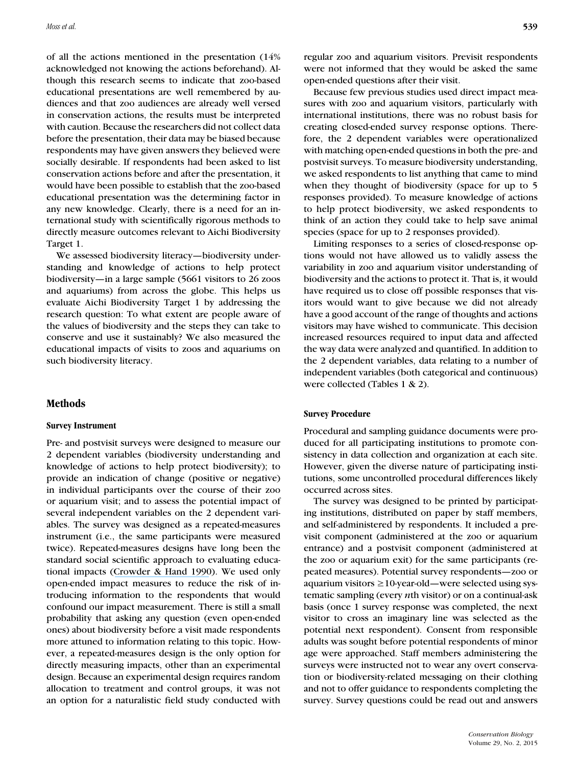of all the actions mentioned in the presentation (14% acknowledged not knowing the actions beforehand). Although this research seems to indicate that zoo-based educational presentations are well remembered by audiences and that zoo audiences are already well versed in conservation actions, the results must be interpreted with caution. Because the researchers did not collect data before the presentation, their data may be biased because respondents may have given answers they believed were socially desirable. If respondents had been asked to list conservation actions before and after the presentation, it would have been possible to establish that the zoo-based educational presentation was the determining factor in any new knowledge. Clearly, there is a need for an international study with scientifically rigorous methods to directly measure outcomes relevant to Aichi Biodiversity Target 1.

We assessed biodiversity literacy—biodiversity understanding and knowledge of actions to help protect biodiversity—in a large sample (5661 visitors to 26 zoos and aquariums) from across the globe. This helps us evaluate Aichi Biodiversity Target 1 by addressing the research question: To what extent are people aware of the values of biodiversity and the steps they can take to conserve and use it sustainably? We also measured the educational impacts of visits to zoos and aquariums on such biodiversity literacy.

## **Methods**

#### **Survey Instrument**

Pre- and postvisit surveys were designed to measure our 2 dependent variables (biodiversity understanding and knowledge of actions to help protect biodiversity); to provide an indication of change (positive or negative) in individual participants over the course of their zoo or aquarium visit; and to assess the potential impact of several independent variables on the 2 dependent variables. The survey was designed as a repeated-measures instrument (i.e., the same participants were measured twice). Repeated-measures designs have long been the standard social scientific approach to evaluating educational impacts ([Crowder & Hand 1990](https://www.researchgate.net/publication/265620347_The_Analysis_of_Repeated_Measures?el=1_x_8&enrichId=rgreq-77f94d7cc6ce42ac83970c032db6908b-XXX&enrichSource=Y292ZXJQYWdlOzI2NTA1NDUxMjtBUzoyMDg3MTE5OTkwNzAyMDhAMTQyNjc3MjIyNjY3Mw==)). We used only open-ended impact measures to reduce the risk of introducing information to the respondents that would confound our impact measurement. There is still a small probability that asking any question (even open-ended ones) about biodiversity before a visit made respondents more attuned to information relating to this topic. However, a repeated-measures design is the only option for directly measuring impacts, other than an experimental design. Because an experimental design requires random allocation to treatment and control groups, it was not an option for a naturalistic field study conducted with regular zoo and aquarium visitors. Previsit respondents were not informed that they would be asked the same open-ended questions after their visit.

Because few previous studies used direct impact measures with zoo and aquarium visitors, particularly with international institutions, there was no robust basis for creating closed-ended survey response options. Therefore, the 2 dependent variables were operationalized with matching open-ended questions in both the pre- and postvisit surveys. To measure biodiversity understanding, we asked respondents to list anything that came to mind when they thought of biodiversity (space for up to 5 responses provided). To measure knowledge of actions to help protect biodiversity, we asked respondents to think of an action they could take to help save animal species (space for up to 2 responses provided).

Limiting responses to a series of closed-response options would not have allowed us to validly assess the variability in zoo and aquarium visitor understanding of biodiversity and the actions to protect it. That is, it would have required us to close off possible responses that visitors would want to give because we did not already have a good account of the range of thoughts and actions visitors may have wished to communicate. This decision increased resources required to input data and affected the way data were analyzed and quantified. In addition to the 2 dependent variables, data relating to a number of independent variables (both categorical and continuous) were collected (Tables 1 & 2).

### **Survey Procedure**

Procedural and sampling guidance documents were produced for all participating institutions to promote consistency in data collection and organization at each site. However, given the diverse nature of participating institutions, some uncontrolled procedural differences likely occurred across sites.

The survey was designed to be printed by participating institutions, distributed on paper by staff members, and self-administered by respondents. It included a previsit component (administered at the zoo or aquarium entrance) and a postvisit component (administered at the zoo or aquarium exit) for the same participants (repeated measures). Potential survey respondents—zoo or  $a$ quarium visitors  $\geq$  10-year-old—were selected using systematic sampling (every *n*th visitor) or on a continual-ask basis (once 1 survey response was completed, the next visitor to cross an imaginary line was selected as the potential next respondent). Consent from responsible adults was sought before potential respondents of minor age were approached. Staff members administering the surveys were instructed not to wear any overt conservation or biodiversity-related messaging on their clothing and not to offer guidance to respondents completing the survey. Survey questions could be read out and answers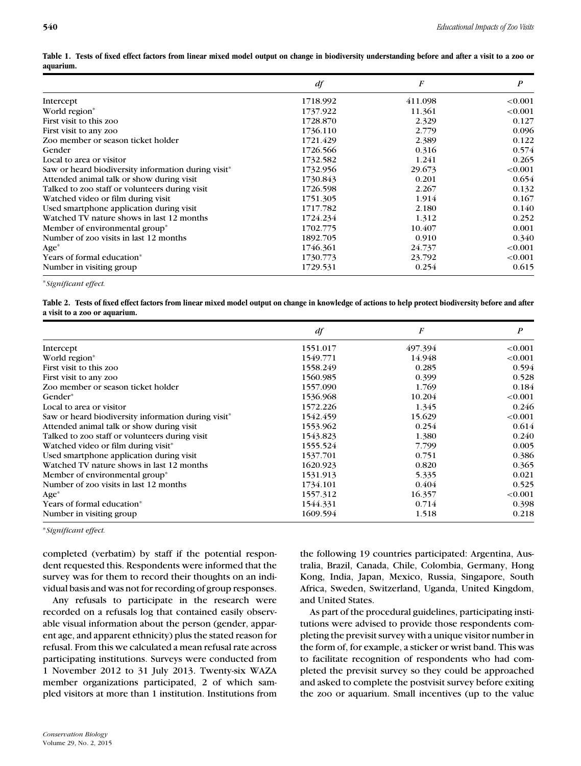|                                                     | df       | $\boldsymbol{F}$ | $\boldsymbol{P}$ |
|-----------------------------------------------------|----------|------------------|------------------|
| Intercept                                           | 1718.992 | 411.098          | < 0.001          |
| World region*                                       | 1737.922 | 11.361           | < 0.001          |
| First visit to this zoo                             | 1728.870 | 2.329            | 0.127            |
| First visit to any zoo                              | 1736.110 | 2.779            | 0.096            |
| Zoo member or season ticket holder                  | 1721.429 | 2.389            | 0.122            |
| Gender                                              | 1726.566 | 0.316            | 0.574            |
| Local to area or visitor                            | 1732.582 | 1.241            | 0.265            |
| Saw or heard biodiversity information during visit* | 1732.956 | 29.673           | < 0.001          |
| Attended animal talk or show during visit           | 1730.843 | 0.201            | 0.654            |
| Talked to zoo staff or volunteers during visit      | 1726.598 | 2.267            | 0.132            |
| Watched video or film during visit                  | 1751.305 | 1.914            | 0.167            |
| Used smartphone application during visit            | 1717.782 | 2.180            | 0.140            |
| Watched TV nature shows in last 12 months           | 1724.234 | 1.312            | 0.252            |
| Member of environmental group*                      | 1702.775 | 10.407           | 0.001            |
| Number of zoo visits in last 12 months              | 1892.705 | 0.910            | 0.340            |
| $Age*$                                              | 1746.361 | 24.737           | < 0.001          |
| Years of formal education*                          | 1730.773 | 23.792           | < 0.001          |
| Number in visiting group                            | 1729.531 | 0.254            | 0.615            |

**Table 1. Tests of fixed effect factors from linear mixed model output on change in biodiversity understanding before and after a visit to a zoo or aquarium.**

∗*Significant effect.*

**Table 2. Tests of fixed effect factors from linear mixed model output on change in knowledge of actions to help protect biodiversity before and after a visit to a zoo or aquarium.**

|                                                                 | df       | F       | $\boldsymbol{P}$ |
|-----------------------------------------------------------------|----------|---------|------------------|
| Intercept                                                       | 1551.017 | 497.394 | < 0.001          |
| World region*                                                   | 1549.771 | 14.948  | ${<}0.001$       |
| First visit to this zoo                                         | 1558.249 | 0.285   | 0.594            |
| First visit to any zoo                                          | 1560.985 | 0.399   | 0.528            |
| Zoo member or season ticket holder                              | 1557.090 | 1.769   | 0.184            |
| Gender*                                                         | 1536.968 | 10.204  | ${<}0.001$       |
| Local to area or visitor                                        | 1572.226 | 1.345   | 0.246            |
| Saw or heard biodiversity information during visit <sup>*</sup> | 1542.459 | 15.629  | ${<}0.001$       |
| Attended animal talk or show during visit                       | 1553.962 | 0.254   | 0.614            |
| Talked to zoo staff or volunteers during visit                  | 1543.823 | 1.380   | 0.240            |
| Watched video or film during visit*                             | 1555.524 | 7.799   | 0.005            |
| Used smartphone application during visit                        | 1537.701 | 0.751   | 0.386            |
| Watched TV nature shows in last 12 months                       | 1620.923 | 0.820   | 0.365            |
| Member of environmental group*                                  | 1531.913 | 5.335   | 0.021            |
| Number of zoo visits in last 12 months                          | 1734.101 | 0.404   | 0.525            |
| $Age*$                                                          | 1557.312 | 16.357  | ${<}0.001$       |
| Years of formal education*                                      | 1544.331 | 0.714   | 0.398            |
| Number in visiting group                                        | 1609.594 | 1.518   | 0.218            |

∗*Significant effect.*

completed (verbatim) by staff if the potential respondent requested this. Respondents were informed that the survey was for them to record their thoughts on an individual basis and was not for recording of group responses.

Any refusals to participate in the research were recorded on a refusals log that contained easily observable visual information about the person (gender, apparent age, and apparent ethnicity) plus the stated reason for refusal. From this we calculated a mean refusal rate across participating institutions. Surveys were conducted from 1 November 2012 to 31 July 2013. Twenty-six WAZA member organizations participated, 2 of which sampled visitors at more than 1 institution. Institutions from

the following 19 countries participated: Argentina, Australia, Brazil, Canada, Chile, Colombia, Germany, Hong Kong, India, Japan, Mexico, Russia, Singapore, South Africa, Sweden, Switzerland, Uganda, United Kingdom, and United States.

As part of the procedural guidelines, participating institutions were advised to provide those respondents completing the previsit survey with a unique visitor number in the form of, for example, a sticker or wrist band. This was to facilitate recognition of respondents who had completed the previsit survey so they could be approached and asked to complete the postvisit survey before exiting the zoo or aquarium. Small incentives (up to the value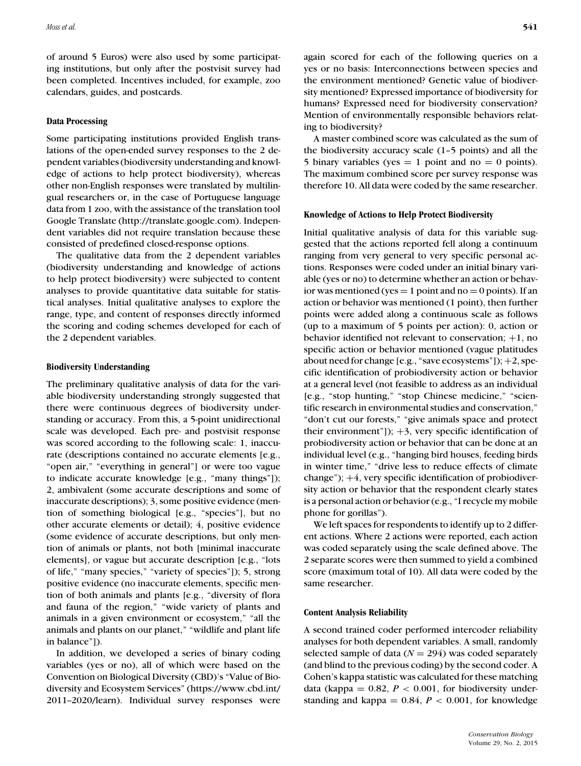of around 5 Euros) were also used by some participating institutions, but only after the postvisit survey had been completed. Incentives included, for example, zoo calendars, guides, and postcards.

#### **Data Processing**

Some participating institutions provided English translations of the open-ended survey responses to the 2 dependent variables (biodiversity understanding and knowledge of actions to help protect biodiversity), whereas other non-English responses were translated by multilingual researchers or, in the case of Portuguese language data from 1 zoo, with the assistance of the translation tool Google Translate (http://translate.google.com). Independent variables did not require translation because these consisted of predefined closed-response options.

The qualitative data from the 2 dependent variables (biodiversity understanding and knowledge of actions to help protect biodiversity) were subjected to content analyses to provide quantitative data suitable for statistical analyses. Initial qualitative analyses to explore the range, type, and content of responses directly informed the scoring and coding schemes developed for each of the 2 dependent variables.

#### **Biodiversity Understanding**

The preliminary qualitative analysis of data for the variable biodiversity understanding strongly suggested that there were continuous degrees of biodiversity understanding or accuracy. From this, a 5-point unidirectional scale was developed. Each pre- and postvisit response was scored according to the following scale: 1, inaccurate (descriptions contained no accurate elements [e.g., "open air," "everything in general"] or were too vague to indicate accurate knowledge [e.g., "many things"]); 2, ambivalent (some accurate descriptions and some of inaccurate descriptions); 3, some positive evidence (mention of something biological [e.g., "species"], but no other accurate elements or detail); 4, positive evidence (some evidence of accurate descriptions, but only mention of animals or plants, not both [minimal inaccurate elements], or vague but accurate description [e.g., "lots of life," "many species," "variety of species"]); 5, strong positive evidence (no inaccurate elements, specific mention of both animals and plants [e.g., "diversity of flora and fauna of the region," "wide variety of plants and animals in a given environment or ecosystem," "all the animals and plants on our planet," "wildlife and plant life in balance"]).

In addition, we developed a series of binary coding variables (yes or no), all of which were based on the Convention on Biological Diversity (CBD)'s "Value of Biodiversity and Ecosystem Services" (https://www.cbd.int/ 2011--2020/learn). Individual survey responses were

again scored for each of the following queries on a yes or no basis: Interconnections between species and the environment mentioned? Genetic value of biodiversity mentioned? Expressed importance of biodiversity for humans? Expressed need for biodiversity conservation? Mention of environmentally responsible behaviors relating to biodiversity?

A master combined score was calculated as the sum of the biodiversity accuracy scale (1–5 points) and all the 5 binary variables (yes  $= 1$  point and no  $= 0$  points). The maximum combined score per survey response was therefore 10. All data were coded by the same researcher.

### **Knowledge of Actions to Help Protect Biodiversity**

Initial qualitative analysis of data for this variable suggested that the actions reported fell along a continuum ranging from very general to very specific personal actions. Responses were coded under an initial binary variable (yes or no) to determine whether an action or behavior was mentioned (yes  $= 1$  point and no  $= 0$  points). If an action or behavior was mentioned (1 point), then further points were added along a continuous scale as follows (up to a maximum of 5 points per action): 0, action or behavior identified not relevant to conservation; +1, no specific action or behavior mentioned (vague platitudes about need for change [e.g., "save ecosystems"]); +2, specific identification of probiodiversity action or behavior at a general level (not feasible to address as an individual [e.g., "stop hunting," "stop Chinese medicine," "scientific research in environmental studies and conservation," "don't cut our forests," "give animals space and protect their environment"]);  $+3$ , very specific identification of probiodiversity action or behavior that can be done at an individual level (e.g., "hanging bird houses, feeding birds in winter time," "drive less to reduce effects of climate change"); +4, very specific identification of probiodiversity action or behavior that the respondent clearly states is a personal action or behavior (e.g., "I recycle my mobile phone for gorillas").

We left spaces for respondents to identify up to 2 different actions. Where 2 actions were reported, each action was coded separately using the scale defined above. The 2 separate scores were then summed to yield a combined score (maximum total of 10). All data were coded by the same researcher.

## **Content Analysis Reliability**

A second trained coder performed intercoder reliability analyses for both dependent variables. A small, randomly selected sample of data  $(N = 294)$  was coded separately (and blind to the previous coding) by the second coder. A Cohen's kappa statistic was calculated for these matching data (kappa  $= 0.82, P < 0.001$ , for biodiversity understanding and kappa  $= 0.84, P < 0.001$ , for knowledge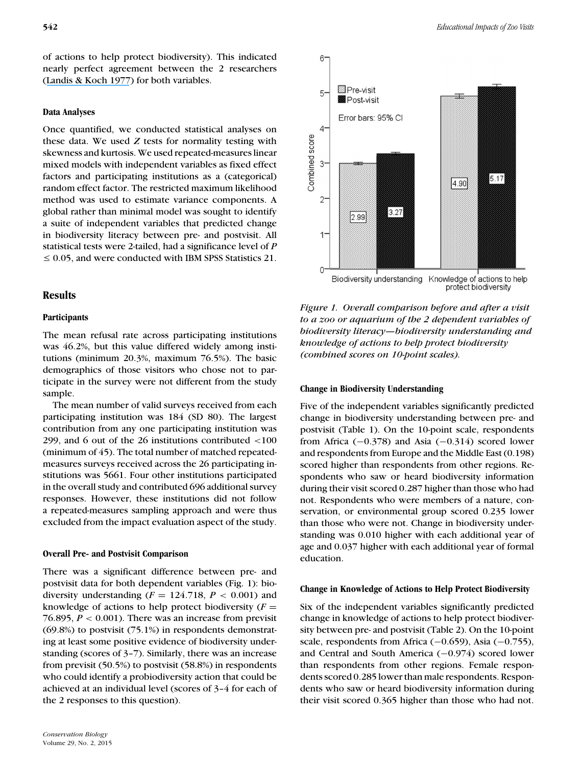of actions to help protect biodiversity). This indicated nearly perfect agreement between the 2 researchers ([Landis & Koch 1977](https://www.researchgate.net/publication/22310512_The_Measurement_Of_Observer_Agreement_For_Categorical_Data?el=1_x_8&enrichId=rgreq-77f94d7cc6ce42ac83970c032db6908b-XXX&enrichSource=Y292ZXJQYWdlOzI2NTA1NDUxMjtBUzoyMDg3MTE5OTkwNzAyMDhAMTQyNjc3MjIyNjY3Mw==)) for both variables.

## **Data Analyses**

Once quantified, we conducted statistical analyses on these data. We used *Z* tests for normality testing with skewness and kurtosis. We used repeated-measures linear mixed models with independent variables as fixed effect factors and participating institutions as a (categorical) random effect factor. The restricted maximum likelihood method was used to estimate variance components. A global rather than minimal model was sought to identify a suite of independent variables that predicted change in biodiversity literacy between pre- and postvisit. All statistical tests were 2-tailed, had a significance level of *P*  $\leq$  0.05, and were conducted with IBM SPSS Statistics 21.

## **Results**

#### **Participants**

The mean refusal rate across participating institutions was 46.2%, but this value differed widely among institutions (minimum 20.3%, maximum 76.5%). The basic demographics of those visitors who chose not to participate in the survey were not different from the study sample.

The mean number of valid surveys received from each participating institution was 184 (SD 80). The largest contribution from any one participating institution was 299, and 6 out of the 26 institutions contributed *<*100 (minimum of 45). The total number of matched repeatedmeasures surveys received across the 26 participating institutions was 5661. Four other institutions participated in the overall study and contributed 696 additional survey responses. However, these institutions did not follow a repeated-measures sampling approach and were thus excluded from the impact evaluation aspect of the study.

## **Overall Pre- and Postvisit Comparison**

There was a significant difference between pre- and postvisit data for both dependent variables (Fig. 1): biodiversity understanding  $(F = 124.718, P < 0.001)$  and knowledge of actions to help protect biodiversity  $(F =$ 76.895,  $P < 0.001$ ). There was an increase from previsit  $(69.8\%)$  to postvisit  $(75.1\%)$  in respondents demonstrating at least some positive evidence of biodiversity understanding (scores of 3–7). Similarly, there was an increase from previsit (50.5%) to postvisit (58.8%) in respondents who could identify a probiodiversity action that could be achieved at an individual level (scores of 3–4 for each of the 2 responses to this question).



*Figure 1. Overall comparison before and after a visit to a zoo or aquarium of the 2 dependent variables of biodiversity literacy—biodiversity understanding and knowledge of actions to help protect biodiversity (combined scores on 10-point scales).*

## **Change in Biodiversity Understanding**

Five of the independent variables significantly predicted change in biodiversity understanding between pre- and postvisit (Table 1). On the 10-point scale, respondents from Africa (−0.378) and Asia (−0.314) scored lower and respondents from Europe and the Middle East (0.198) scored higher than respondents from other regions. Respondents who saw or heard biodiversity information during their visit scored 0.287 higher than those who had not. Respondents who were members of a nature, conservation, or environmental group scored 0.235 lower than those who were not. Change in biodiversity understanding was 0.010 higher with each additional year of age and 0.037 higher with each additional year of formal education.

#### **Change in Knowledge of Actions to Help Protect Biodiversity**

Six of the independent variables significantly predicted change in knowledge of actions to help protect biodiversity between pre- and postvisit (Table 2). On the 10-point scale, respondents from Africa (−0.659), Asia (−0.755), and Central and South America (−0.974) scored lower than respondents from other regions. Female respondents scored 0.285 lower than male respondents. Respondents who saw or heard biodiversity information during their visit scored 0.365 higher than those who had not.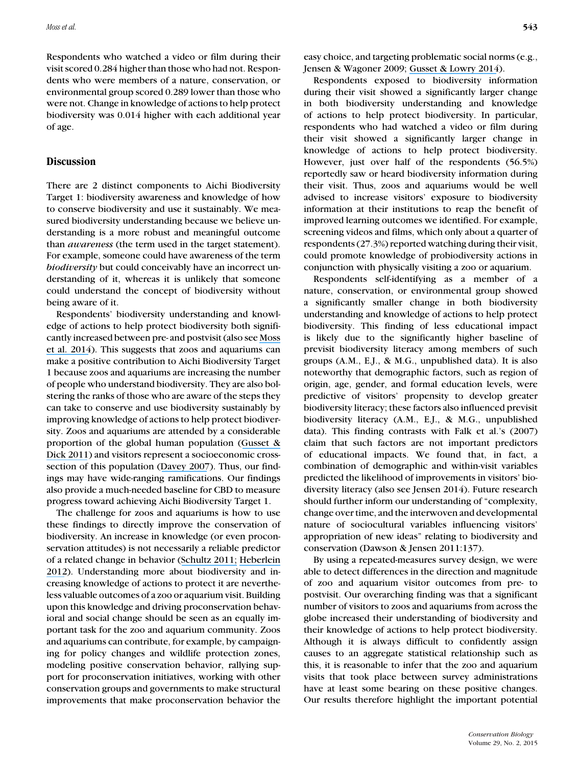Respondents who watched a video or film during their visit scored 0.284 higher than those who had not. Respondents who were members of a nature, conservation, or environmental group scored 0.289 lower than those who were not. Change in knowledge of actions to help protect biodiversity was 0.014 higher with each additional year of age.

# **Discussion**

There are 2 distinct components to Aichi Biodiversity Target 1: biodiversity awareness and knowledge of how to conserve biodiversity and use it sustainably. We measured biodiversity understanding because we believe understanding is a more robust and meaningful outcome than *awareness* (the term used in the target statement). For example, someone could have awareness of the term *biodiversity* but could conceivably have an incorrect understanding of it, whereas it is unlikely that someone could understand the concept of biodiversity without being aware of it.

Respondents' biodiversity understanding and knowledge of actions to help protect biodiversity both significantly increased between pre- and postvisit (also see [Moss](https://www.researchgate.net/publication/261519288_Conservation_Zoo_visits_boost_biodiversity_literacy?el=1_x_8&enrichId=rgreq-77f94d7cc6ce42ac83970c032db6908b-XXX&enrichSource=Y292ZXJQYWdlOzI2NTA1NDUxMjtBUzoyMDg3MTE5OTkwNzAyMDhAMTQyNjc3MjIyNjY3Mw==) [et al. 2014](https://www.researchgate.net/publication/261519288_Conservation_Zoo_visits_boost_biodiversity_literacy?el=1_x_8&enrichId=rgreq-77f94d7cc6ce42ac83970c032db6908b-XXX&enrichSource=Y292ZXJQYWdlOzI2NTA1NDUxMjtBUzoyMDg3MTE5OTkwNzAyMDhAMTQyNjc3MjIyNjY3Mw==)). This suggests that zoos and aquariums can make a positive contribution to Aichi Biodiversity Target 1 because zoos and aquariums are increasing the number of people who understand biodiversity. They are also bolstering the ranks of those who are aware of the steps they can take to conserve and use biodiversity sustainably by improving knowledge of actions to help protect biodiversity. Zoos and aquariums are attended by a considerable proportion of the global human population ([Gusset &](https://www.researchgate.net/publication/49662951_The_global_reach_of_zoos_and_aquariums_in_visitor_numbers_and_conservation_expenditures?el=1_x_8&enrichId=rgreq-77f94d7cc6ce42ac83970c032db6908b-XXX&enrichSource=Y292ZXJQYWdlOzI2NTA1NDUxMjtBUzoyMDg3MTE5OTkwNzAyMDhAMTQyNjc3MjIyNjY3Mw==) [Dick 2011](https://www.researchgate.net/publication/49662951_The_global_reach_of_zoos_and_aquariums_in_visitor_numbers_and_conservation_expenditures?el=1_x_8&enrichId=rgreq-77f94d7cc6ce42ac83970c032db6908b-XXX&enrichSource=Y292ZXJQYWdlOzI2NTA1NDUxMjtBUzoyMDg3MTE5OTkwNzAyMDhAMTQyNjc3MjIyNjY3Mw==)) and visitors represent a socioeconomic crosssection of this population ([Davey 2007](https://www.researchgate.net/publication/229962190_An_analysis_of_country_socio-economic_and_time_factors_on_worldwide_zoo_attendance_during_a_40year_period?el=1_x_8&enrichId=rgreq-77f94d7cc6ce42ac83970c032db6908b-XXX&enrichSource=Y292ZXJQYWdlOzI2NTA1NDUxMjtBUzoyMDg3MTE5OTkwNzAyMDhAMTQyNjc3MjIyNjY3Mw==)). Thus, our findings may have wide-ranging ramifications. Our findings also provide a much-needed baseline for CBD to measure progress toward achieving Aichi Biodiversity Target 1.

The challenge for zoos and aquariums is how to use these findings to directly improve the conservation of biodiversity. An increase in knowledge (or even proconservation attitudes) is not necessarily a reliable predictor of a related change in behavior ([Schultz 2011;](https://www.researchgate.net/publication/51787256_Conservation_Means_Behavior?el=1_x_8&enrichId=rgreq-77f94d7cc6ce42ac83970c032db6908b-XXX&enrichSource=Y292ZXJQYWdlOzI2NTA1NDUxMjtBUzoyMDg3MTE5OTkwNzAyMDhAMTQyNjc3MjIyNjY3Mw==) [Heberlein](https://www.researchgate.net/publication/229324991_Navigating_Environmental_Attitudes?el=1_x_8&enrichId=rgreq-77f94d7cc6ce42ac83970c032db6908b-XXX&enrichSource=Y292ZXJQYWdlOzI2NTA1NDUxMjtBUzoyMDg3MTE5OTkwNzAyMDhAMTQyNjc3MjIyNjY3Mw==) [2012](https://www.researchgate.net/publication/229324991_Navigating_Environmental_Attitudes?el=1_x_8&enrichId=rgreq-77f94d7cc6ce42ac83970c032db6908b-XXX&enrichSource=Y292ZXJQYWdlOzI2NTA1NDUxMjtBUzoyMDg3MTE5OTkwNzAyMDhAMTQyNjc3MjIyNjY3Mw==)). Understanding more about biodiversity and increasing knowledge of actions to protect it are nevertheless valuable outcomes of a zoo or aquarium visit. Building upon this knowledge and driving proconservation behavioral and social change should be seen as an equally important task for the zoo and aquarium community. Zoos and aquariums can contribute, for example, by campaigning for policy changes and wildlife protection zones, modeling positive conservation behavior, rallying support for proconservation initiatives, working with other conservation groups and governments to make structural improvements that make proconservation behavior the

easy choice, and targeting problematic social norms (e.g., Jensen & Wagoner 2009; [Gusset & Lowry 2014](https://www.researchgate.net/publication/273575421_WAZA_Magazine_15_Towards_Effective_Environmental_Education?el=1_x_8&enrichId=rgreq-77f94d7cc6ce42ac83970c032db6908b-XXX&enrichSource=Y292ZXJQYWdlOzI2NTA1NDUxMjtBUzoyMDg3MTE5OTkwNzAyMDhAMTQyNjc3MjIyNjY3Mw==)).

Respondents exposed to biodiversity information during their visit showed a significantly larger change in both biodiversity understanding and knowledge of actions to help protect biodiversity. In particular, respondents who had watched a video or film during their visit showed a significantly larger change in knowledge of actions to help protect biodiversity. However, just over half of the respondents (56.5%) reportedly saw or heard biodiversity information during their visit. Thus, zoos and aquariums would be well advised to increase visitors' exposure to biodiversity information at their institutions to reap the benefit of improved learning outcomes we identified. For example, screening videos and films, which only about a quarter of respondents (27.3%) reported watching during their visit, could promote knowledge of probiodiversity actions in conjunction with physically visiting a zoo or aquarium.

Respondents self-identifying as a member of a nature, conservation, or environmental group showed a significantly smaller change in both biodiversity understanding and knowledge of actions to help protect biodiversity. This finding of less educational impact is likely due to the significantly higher baseline of previsit biodiversity literacy among members of such groups (A.M., E.J., & M.G., unpublished data). It is also noteworthy that demographic factors, such as region of origin, age, gender, and formal education levels, were predictive of visitors' propensity to develop greater biodiversity literacy; these factors also influenced previsit biodiversity literacy (A.M., E.J., & M.G., unpublished data). This finding contrasts with Falk et al.'s (2007) claim that such factors are not important predictors of educational impacts. We found that, in fact, a combination of demographic and within-visit variables predicted the likelihood of improvements in visitors' biodiversity literacy (also see Jensen 2014). Future research should further inform our understanding of "complexity, change over time, and the interwoven and developmental nature of sociocultural variables influencing visitors' appropriation of new ideas" relating to biodiversity and conservation (Dawson & Jensen 2011:137).

By using a repeated-measures survey design, we were able to detect differences in the direction and magnitude of zoo and aquarium visitor outcomes from pre- to postvisit. Our overarching finding was that a significant number of visitors to zoos and aquariums from across the globe increased their understanding of biodiversity and their knowledge of actions to help protect biodiversity. Although it is always difficult to confidently assign causes to an aggregate statistical relationship such as this, it is reasonable to infer that the zoo and aquarium visits that took place between survey administrations have at least some bearing on these positive changes. Our results therefore highlight the important potential